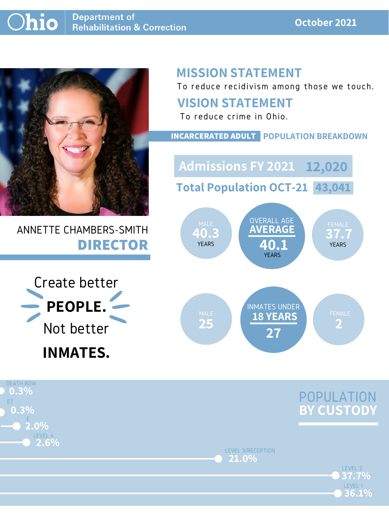#### **October 2021**



# ANNETTE CHAMBERS-SMITH **DIRECTOR**

# **MISSION STATEMENT**

To reduce recidivism among those we touch.



LEVEL 2

LEVEL 3/RECEPTION **21.0%**

LEVEL 1

**36.1%**

**37.7%**



#### **VISION STATEMENT**



To reduce crime in Ohio.



#### **INCARCERATED ADULT POPULATION BREAKDOWN**

**Total Population OCT-21 43,041**

**Admissions FY 2021 12,020**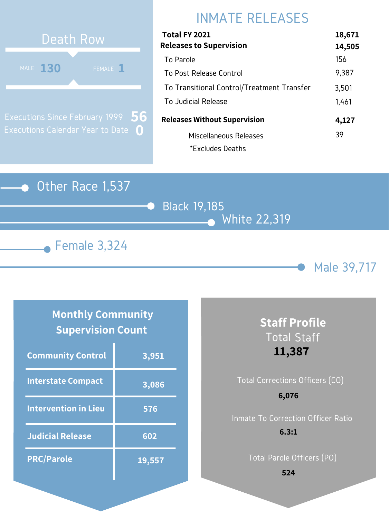#### Other Race 1,537

Black 19,185 White 22,319





# INMATE RELEASES



Executions Since February 1999 Executions Calendar Year to Date **0 56**

#### **Monthly Community Supervision Count**

| Total FY 2021                              | 18,671 |
|--------------------------------------------|--------|
| <b>Releases to Supervision</b>             | 14,505 |
| To Parole                                  | 156    |
| To Post Release Control                    | 9,387  |
| To Transitional Control/Treatment Transfer | 3,501  |
| To Judicial Release                        | 1,461  |
| <b>Releases Without Supervision</b>        | 4,127  |
| Miscellaneous Releases                     | 39     |
| *Excludes Deaths                           |        |

| <b>Community Control</b>    | 3,951  |
|-----------------------------|--------|
| <b>Interstate Compact</b>   | 3,086  |
| <b>Intervention in Lieu</b> | 576    |
| <b>Judicial Release</b>     | 602    |
| <b>PRC/Parole</b>           | 19,557 |

# Total Corrections Officers (CO) **6,076**

## **Staff Profile** Total Staff **11,387**

Inmate To Correction Officer Ratio **6.3:1**

Total Parole Officers (PO)

**524**